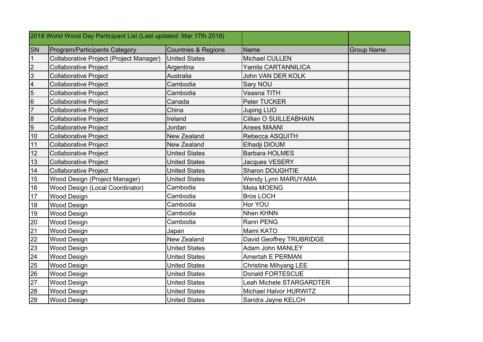| 2018 World Wood Day Participant List (Last updated: Mar 17th 2018) |                                |                              |                   |
|--------------------------------------------------------------------|--------------------------------|------------------------------|-------------------|
| <b>SN</b><br>Program/Participants Category                         | <b>Countries &amp; Regions</b> | <b>Name</b>                  | <b>Group Name</b> |
| $\mathbf{1}$<br>Collaborative Project (Project Manager)            | <b>United States</b>           | <b>Michael CULLEN</b>        |                   |
| $\overline{2}$<br><b>Collaborative Project</b>                     | Argentina                      | Yamila CARTANNILICA          |                   |
| $\mathbf{3}$<br><b>Collaborative Project</b>                       | Australia                      | John VAN DER KOLK            |                   |
| $\overline{\mathbf{4}}$<br><b>Collaborative Project</b>            | Cambodia                       | Sary NOU                     |                   |
| $\overline{5}$<br><b>Collaborative Project</b>                     | Cambodia                       | Veasna TITH                  |                   |
| $\,$ 6<br><b>Collaborative Project</b>                             | Canada                         | Peter TUCKER                 |                   |
| $\overline{7}$<br><b>Collaborative Project</b>                     | China                          | <b>Juping LUO</b>            |                   |
| $\bf 8$<br><b>Collaborative Project</b>                            | Ireland                        | Cillian O SUILLEABHAIN       |                   |
| 9<br><b>Collaborative Project</b>                                  | Jordan                         | <b>Anees MAANI</b>           |                   |
| <b>Collaborative Project</b><br>10                                 | New Zealand                    | Rebecca ASQUITH              |                   |
| 11<br><b>Collaborative Project</b>                                 | New Zealand                    | Elhadji DIOUM                |                   |
| 12<br><b>Collaborative Project</b>                                 | <b>United States</b>           | <b>Barbara HOLMES</b>        |                   |
| 13<br><b>Collaborative Project</b>                                 | <b>United States</b>           | Jacques VESERY               |                   |
| 14<br><b>Collaborative Project</b>                                 | <b>United States</b>           | <b>Sharon DOUGHTIE</b>       |                   |
| 15<br>Wood Design (Project Manager)                                | <b>United States</b>           | <b>Wendy Lynn MARUYAMA</b>   |                   |
| Wood Design (Local Coordinator)<br>16                              | Cambodia                       | Meta MOENG                   |                   |
| 17<br><b>Wood Design</b>                                           | Cambodia                       | <b>Bros LOCH</b>             |                   |
| <b>Wood Design</b><br>18                                           | Cambodia                       | Hor YOU                      |                   |
| 19<br><b>Wood Design</b>                                           | Cambodia                       | <b>Nhen KHNN</b>             |                   |
| 20<br><b>Wood Design</b>                                           | Cambodia                       | Rann PENG                    |                   |
| 21<br><b>Wood Design</b>                                           | Japan                          | Mami KATO                    |                   |
| 22<br><b>Wood Design</b>                                           | New Zealand                    | David Geoffrey TRUBRIDGE     |                   |
| 23<br><b>Wood Design</b>                                           | <b>United States</b>           | <b>Adam John MANLEY</b>      |                   |
| 24<br><b>Wood Design</b>                                           | <b>United States</b>           | Amertah E PERMAN             |                   |
| 25<br><b>Wood Design</b>                                           | <b>United States</b>           | <b>Christine Mihyang LEE</b> |                   |
| 26<br><b>Wood Design</b>                                           | <b>United States</b>           | Donald FORTESCUE             |                   |
| 27<br><b>Wood Design</b>                                           | <b>United States</b>           | Leah Michele STARGARDTER     |                   |
| 28<br>Wood Design                                                  | <b>United States</b>           | Michael Halvor HURWITZ       |                   |
| 29<br><b>Wood Design</b>                                           | <b>United States</b>           | Sandra Jayne KELCH           |                   |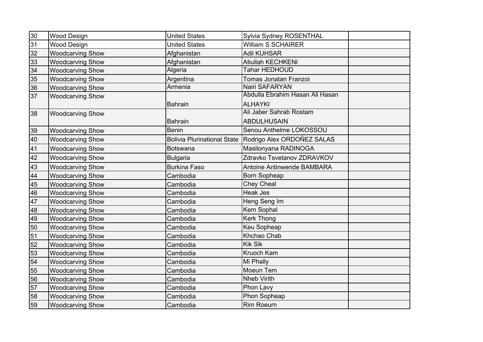| 30 | <b>Wood Design</b>      | <b>United States</b> | Sylvia Sydney ROSENTHAL                                  |
|----|-------------------------|----------------------|----------------------------------------------------------|
| 31 | <b>Wood Design</b>      | <b>United States</b> | <b>William S SCHAIRER</b>                                |
| 32 | <b>Woodcarving Show</b> | Afghanistan          | <b>Adil KUHSAR</b>                                       |
| 33 | <b>Woodcarving Show</b> | Afghanistan          | Atiullah KECHKENI                                        |
| 34 | <b>Woodcarving Show</b> | Algeria              | Tahar HEDHOUD                                            |
| 35 | <b>Woodcarving Show</b> | Argentina            | Tomas Jonatan Franzoi                                    |
| 36 | <b>Woodcarving Show</b> | Armenia              | Nairi SAFARYAN                                           |
| 37 | <b>Woodcarving Show</b> |                      | Abdulla Ebrahim Hasan Ali Hasan                          |
|    |                         | <b>Bahrain</b>       | <b>ALHAYKI</b>                                           |
| 38 | <b>Woodcarving Show</b> |                      | Ali Jaber Sahrab Rostam                                  |
|    |                         | <b>Bahrain</b>       | <b>ABDULHUSAIN</b>                                       |
| 39 | <b>Woodcarving Show</b> | Benin                | Senou Anthelme LOKOSSOU                                  |
| 40 | <b>Woodcarving Show</b> |                      | Bolivia Plurinational State   Rodrigo Alex ORDOÑEZ SALAS |
| 41 | <b>Woodcarving Show</b> | <b>Botswana</b>      | Masilonyana RADINOGA                                     |
| 42 | <b>Woodcarving Show</b> | <b>Bulgaria</b>      | Zdravko Tsvetanov ZDRAVKOV                               |
| 43 | <b>Woodcarving Show</b> | <b>Burkina Faso</b>  | Antoine Antinwende BAMBARA                               |
| 44 | <b>Woodcarving Show</b> | Cambodia             | <b>Born Sopheap</b>                                      |
| 45 | <b>Woodcarving Show</b> | Cambodia             | <b>Chey Cheal</b>                                        |
| 46 | <b>Woodcarving Show</b> | Cambodia             | <b>Heak Jes</b>                                          |
| 47 | <b>Woodcarving Show</b> | Cambodia             | Heng Seng Im                                             |
| 48 | <b>Woodcarving Show</b> | Cambodia             | Kem Sophal                                               |
| 49 | <b>Woodcarving Show</b> | Cambodia             | <b>Kerk Thong</b>                                        |
| 50 | <b>Woodcarving Show</b> | Cambodia             | Keu Sopheap                                              |
| 51 | <b>Woodcarving Show</b> | Cambodia             | Khchao Chab                                              |
| 52 | <b>Woodcarving Show</b> | Cambodia             | <b>Kik Sik</b>                                           |
| 53 | <b>Woodcarving Show</b> | Cambodia             | Kruoch Kam                                               |
| 54 | <b>Woodcarving Show</b> | Cambodia             | Mi Phally                                                |
| 55 | <b>Woodcarving Show</b> | Cambodia             | Moeun Tem                                                |
| 56 | <b>Woodcarving Show</b> | Cambodia             | <b>Nheb Virith</b>                                       |
| 57 | <b>Woodcarving Show</b> | Cambodia             | Phon Lavy                                                |
| 58 | <b>Woodcarving Show</b> | Cambodia             | Phon Sopheap                                             |
| 59 | <b>Woodcarving Show</b> | Cambodia             | <b>Rim Roeurn</b>                                        |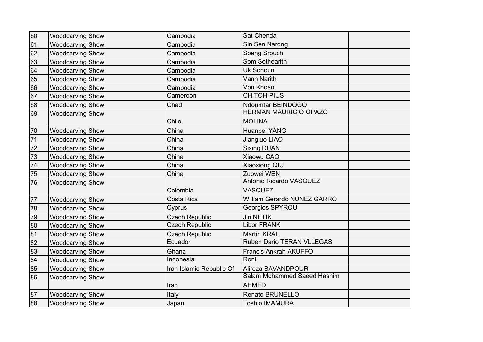| 60 | <b>Woodcarving Show</b> | Cambodia                 | Sat Chenda                   |  |
|----|-------------------------|--------------------------|------------------------------|--|
| 61 | <b>Woodcarving Show</b> | Cambodia                 | Sin Sen Narong               |  |
| 62 | <b>Woodcarving Show</b> | Cambodia                 | Soeng Srouch                 |  |
| 63 | <b>Woodcarving Show</b> | Cambodia                 | Som Sothearith               |  |
| 64 | <b>Woodcarving Show</b> | Cambodia                 | Uk Sonoun                    |  |
| 65 | <b>Woodcarving Show</b> | Cambodia                 | <b>Vann Narith</b>           |  |
| 66 | <b>Woodcarving Show</b> | Cambodia                 | Von Khoan                    |  |
| 67 | <b>Woodcarving Show</b> | Cameroon                 | <b>CHITOH PIUS</b>           |  |
| 68 | <b>Woodcarving Show</b> | Chad                     | Ndoumtar BEINDOGO            |  |
| 69 | <b>Woodcarving Show</b> |                          | <b>HERMAN MAURICIO OPAZO</b> |  |
|    |                         | Chile                    | <b>MOLINA</b>                |  |
| 70 | <b>Woodcarving Show</b> | China                    | Huanpei YANG                 |  |
| 71 | <b>Woodcarving Show</b> | China                    | Jiangluo LIAO                |  |
| 72 | <b>Woodcarving Show</b> | China                    | <b>Sixing DUAN</b>           |  |
| 73 | <b>Woodcarving Show</b> | China                    | Xiaowu CAO                   |  |
| 74 | <b>Woodcarving Show</b> | China                    | Xiaoxiong QIU                |  |
| 75 | <b>Woodcarving Show</b> | China                    | Zuowei WEN                   |  |
| 76 | <b>Woodcarving Show</b> |                          | Antonio Ricardo VASQUEZ      |  |
|    |                         | Colombia                 | <b>VASQUEZ</b>               |  |
| 77 | <b>Woodcarving Show</b> | Costa Rica               | William Gerardo NUNEZ GARRO  |  |
| 78 | <b>Woodcarving Show</b> | Cyprus                   | Georgios SPYROU              |  |
| 79 | <b>Woodcarving Show</b> | <b>Czech Republic</b>    | <b>Jiri NETIK</b>            |  |
| 80 | <b>Woodcarving Show</b> | <b>Czech Republic</b>    | <b>Libor FRANK</b>           |  |
| 81 | <b>Woodcarving Show</b> | <b>Czech Republic</b>    | <b>Martin KRAL</b>           |  |
| 82 | <b>Woodcarving Show</b> | Ecuador                  | Ruben Dario TERAN VLLEGAS    |  |
| 83 | <b>Woodcarving Show</b> | Ghana                    | Francis Ankrah AKUFFO        |  |
| 84 | <b>Woodcarving Show</b> | Indonesia                | Roni                         |  |
| 85 | <b>Woodcarving Show</b> | Iran Islamic Republic Of | Alireza BAVANDPOUR           |  |
| 86 | <b>Woodcarving Show</b> |                          | Salam Mohammed Saeed Hashim  |  |
|    |                         | Iraq                     | <b>AHMED</b>                 |  |
| 87 | <b>Woodcarving Show</b> | Italy                    | Renato BRUNELLO              |  |
| 88 | <b>Woodcarving Show</b> | Japan                    | <b>Toshio IMAMURA</b>        |  |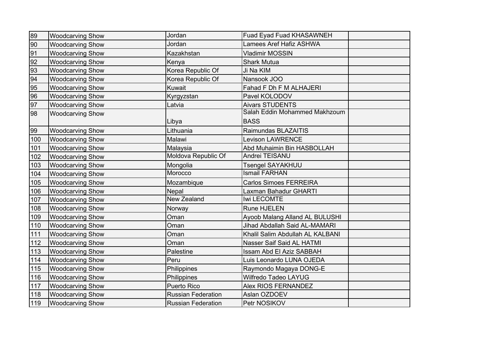| 89  | <b>Woodcarving Show</b> | Jordan                    | Fuad Eyad Fuad KHASAWNEH             |
|-----|-------------------------|---------------------------|--------------------------------------|
| 90  | <b>Woodcarving Show</b> | Jordan                    | <b>Lamees Aref Hafiz ASHWA</b>       |
| 91  | <b>Woodcarving Show</b> | Kazakhstan                | <b>Vladimir MOSSIN</b>               |
| 92  | <b>Woodcarving Show</b> | Kenya                     | <b>Shark Mutua</b>                   |
| 93  | <b>Woodcarving Show</b> | Korea Republic Of         | Ji Na KIM                            |
| 94  | <b>Woodcarving Show</b> | Korea Republic Of         | Nansook JOO                          |
| 95  | <b>Woodcarving Show</b> | Kuwait                    | Fahad F Dh F M ALHAJERI              |
| 96  | <b>Woodcarving Show</b> | Kyrgyzstan                | Pavel KOLODOV                        |
| 97  | <b>Woodcarving Show</b> | Latvia                    | <b>Aivars STUDENTS</b>               |
| 98  | <b>Woodcarving Show</b> |                           | Salah Eddin Mohammed Makhzoum        |
|     |                         | Libya                     | <b>BASS</b>                          |
| 99  | <b>Woodcarving Show</b> | Lithuania                 | Raimundas BLAZAITIS                  |
| 100 | <b>Woodcarving Show</b> | Malawi                    | <b>Levison LAWRENCE</b>              |
| 101 | <b>Woodcarving Show</b> | Malaysia                  | Abd Muhaimin Bin HASBOLLAH           |
| 102 | <b>Woodcarving Show</b> | Moldova Republic Of       | Andrei TEISANU                       |
| 103 | <b>Woodcarving Show</b> | Mongolia                  | <b>Tsengel SAYAKHUU</b>              |
| 104 | <b>Woodcarving Show</b> | Morocco                   | <b>Ismail FARHAN</b>                 |
| 105 | <b>Woodcarving Show</b> | Mozambique                | <b>Carlos Simoes FERREIRA</b>        |
| 106 | <b>Woodcarving Show</b> | Nepal                     | Laxman Bahadur GHARTI                |
| 107 | <b>Woodcarving Show</b> | New Zealand               | Iwi LECOMTE                          |
| 108 | <b>Woodcarving Show</b> | Norway                    | Rune HJELEN                          |
| 109 | <b>Woodcarving Show</b> | Oman                      | Ayoob Malang Alland AL BULUSHI       |
| 110 | <b>Woodcarving Show</b> | Oman                      | <b>Jihad Abdallah Said AL-MAMARI</b> |
| 111 | <b>Woodcarving Show</b> | Oman                      | Khalil Salim Abdullah AL KALBANI     |
| 112 | <b>Woodcarving Show</b> | Oman                      | Nasser Saif Said AL HATMI            |
| 113 | <b>Woodcarving Show</b> | Palestine                 | Issam Abd El Aziz SABBAH             |
| 114 | <b>Woodcarving Show</b> | Peru                      | Luis Leonardo LUNA OJEDA             |
| 115 | <b>Woodcarving Show</b> | Philippines               | Raymondo Magaya DONG-E               |
| 116 | <b>Woodcarving Show</b> | Philippines               | Wilfredo Tadeo LAYUG                 |
| 117 | <b>Woodcarving Show</b> | <b>Puerto Rico</b>        | Alex RIOS FERNANDEZ                  |
| 118 | <b>Woodcarving Show</b> | <b>Russian Federation</b> | Aslan OZDOEV                         |
| 119 | <b>Woodcarving Show</b> | <b>Russian Federation</b> | Petr NOSIKOV                         |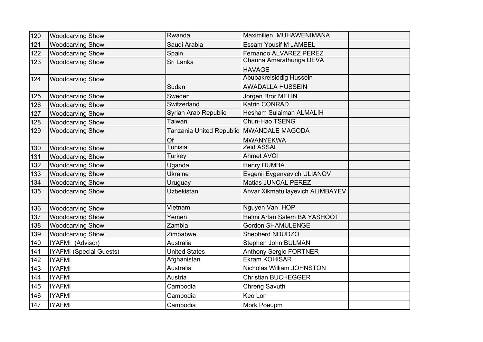| 120 | <b>Woodcarving Show</b>        | Rwanda                                   | Maximilien MUHAWENIMANA          |  |
|-----|--------------------------------|------------------------------------------|----------------------------------|--|
| 121 | <b>Woodcarving Show</b>        | Saudi Arabia                             | <b>Essam Yousif M JAMEEL</b>     |  |
| 122 | <b>Woodcarving Show</b>        | Spain                                    | Fernando ALVAREZ PEREZ           |  |
| 123 | <b>Woodcarving Show</b>        | Sri Lanka                                | Channa Amarathunga DEVA          |  |
|     |                                |                                          | <b>HAVAGE</b>                    |  |
| 124 | <b>Woodcarving Show</b>        |                                          | Abubakrelsiddig Hussein          |  |
|     |                                | Sudan                                    | <b>AWADALLA HUSSEIN</b>          |  |
| 125 | <b>Woodcarving Show</b>        | Sweden                                   | Jorgen Bror MELIN                |  |
| 126 | <b>Woodcarving Show</b>        | Switzerland                              | Katrin CONRAD                    |  |
| 127 | <b>Woodcarving Show</b>        | Syrian Arab Republic                     | <b>Hesham Sulaiman ALMALIH</b>   |  |
| 128 | <b>Woodcarving Show</b>        | <b>Taiwan</b>                            | Chun-Hao TSENG                   |  |
| 129 | <b>Woodcarving Show</b>        | Tanzania United Republic MWANDALE MAGODA |                                  |  |
|     |                                | Of                                       | <b>MWANYEKWA</b>                 |  |
| 130 | <b>Woodcarving Show</b>        | <b>Tunisia</b>                           | Zeid ASSAL                       |  |
| 131 | <b>Woodcarving Show</b>        | <b>Turkey</b>                            | <b>Ahmet AVCI</b>                |  |
| 132 | <b>Woodcarving Show</b>        | Uganda                                   | <b>Henry DUMBA</b>               |  |
| 133 | <b>Woodcarving Show</b>        | <b>Ukraine</b>                           | Evgenii Evgenyevich ULIANOV      |  |
| 134 | <b>Woodcarving Show</b>        | Uruguay                                  | Matias JUNCAL PEREZ              |  |
| 135 | <b>Woodcarving Show</b>        | <b>Uzbekistan</b>                        | Anvar Xikmatullayevich ALIMBAYEV |  |
|     |                                |                                          |                                  |  |
| 136 | <b>Woodcarving Show</b>        | Vietnam                                  | Nguyen Van HOP                   |  |
| 137 | <b>Woodcarving Show</b>        | Yemen                                    | Helmi Arfan Salem BA YASHOOT     |  |
| 138 | <b>Woodcarving Show</b>        | Zambia                                   | <b>Gordon SHAMULENGE</b>         |  |
| 139 | <b>Woodcarving Show</b>        | Zimbabwe                                 | Shepherd NDUDZO                  |  |
| 140 | IYAFMI (Advisor)               | Australia                                | Stephen John BULMAN              |  |
| 141 | <b>IYAFMI</b> (Special Guests) | <b>United States</b>                     | <b>Anthony Sergio FORTNER</b>    |  |
| 142 | <b>IYAFMI</b>                  | Afghanistan                              | Ekram KOHISAR                    |  |
| 143 | <b>IYAFMI</b>                  | Australia                                | Nicholas William JOHNSTON        |  |
| 144 | <b>IYAFMI</b>                  | Austria                                  | <b>Christian BUCHEGGER</b>       |  |
| 145 | <b>IYAFMI</b>                  | Cambodia                                 | <b>Chreng Savuth</b>             |  |
| 146 | <b>IYAFMI</b>                  | Cambodia                                 | Keo Lon                          |  |
| 147 | <b>IYAFMI</b>                  | Cambodia                                 | Mork Poeupm                      |  |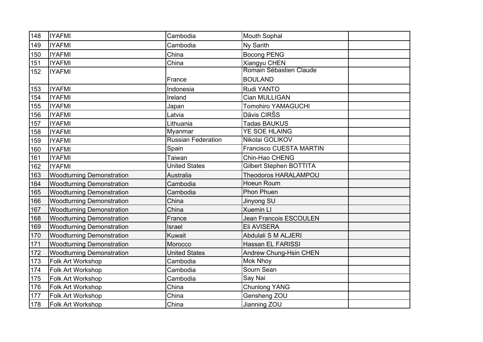| 148 | <b>IYAFMI</b>                    | Cambodia                  | Mouth Sophal                  |  |
|-----|----------------------------------|---------------------------|-------------------------------|--|
| 149 | <b>IYAFMI</b>                    | Cambodia                  | Ny Sarith                     |  |
| 150 | <b>IYAFMI</b>                    | China                     | <b>Bocong PENG</b>            |  |
| 151 | <b>IYAFMI</b>                    | China                     | Xiangyu CHEN                  |  |
| 152 | <b>IYAFMI</b>                    |                           | Romain Sébastien Claude       |  |
|     |                                  | France                    | <b>BOULAND</b>                |  |
| 153 | <b>IYAFMI</b>                    | Indonesia                 | Rudi YANTO                    |  |
| 154 | <b>IYAFMI</b>                    | Ireland                   | Cian MULLIGAN                 |  |
| 155 | <b>IYAFMI</b>                    | Japan                     | <b>Tomohiro YAMAGUCHI</b>     |  |
| 156 | <b>IYAFMI</b>                    | Latvia                    | Dāvis CIRŠS                   |  |
| 157 | <b>IYAFMI</b>                    | Lithuania                 | <b>Tadas BAUKUS</b>           |  |
| 158 | <b>IYAFMI</b>                    | Myanmar                   | <b>YE SOE HLAING</b>          |  |
| 159 | <b>IYAFMI</b>                    | <b>Russian Federation</b> | Nikolai GOLIKOV               |  |
| 160 | <b>IYAFMI</b>                    | Spain                     | Francisco CUESTA MARTIN       |  |
| 161 | <b>IYAFMI</b>                    | Taiwan                    | Chin-Hao CHENG                |  |
| 162 | <b>IYAFMI</b>                    | <b>United States</b>      | Gilbert Stephen BOTTITA       |  |
| 163 | <b>Woodturning Demonstration</b> | Australia                 | <b>Theodoros HARALAMPOU</b>   |  |
| 164 | <b>Woodturning Demonstration</b> | Cambodia                  | Hoeun Roum                    |  |
| 165 | <b>Woodturning Demonstration</b> | Cambodia                  | <b>Phon Phuen</b>             |  |
| 166 | <b>Woodturning Demonstration</b> | China                     | Jinyong SU                    |  |
| 167 | <b>Woodturning Demonstration</b> | China                     | <b>Xuemin LI</b>              |  |
| 168 | <b>Woodturning Demonstration</b> | France                    | <b>Jean Francois ESCOULEN</b> |  |
| 169 | <b>Woodturning Demonstration</b> | Israel                    | Eli AVISERA                   |  |
| 170 | <b>Woodturning Demonstration</b> | Kuwait                    | Abdulali S M ALJERI           |  |
| 171 | <b>Woodturning Demonstration</b> | Morocco                   | Hassan EL FARISSI             |  |
| 172 | <b>Woodturning Demonstration</b> | <b>United States</b>      | Andrew Chung-Hsin CHEN        |  |
| 173 | Folk Art Workshop                | Cambodia                  | Mok Nhoy                      |  |
| 174 | Folk Art Workshop                | Cambodia                  | Sourn Sean                    |  |
| 175 | Folk Art Workshop                | Cambodia                  | Say Nai                       |  |
| 176 | Folk Art Workshop                | China                     | <b>Chunlong YANG</b>          |  |
| 177 | Folk Art Workshop                | China                     | Gensheng ZOU                  |  |
| 178 | Folk Art Workshop                | China                     | Jianning ZOU                  |  |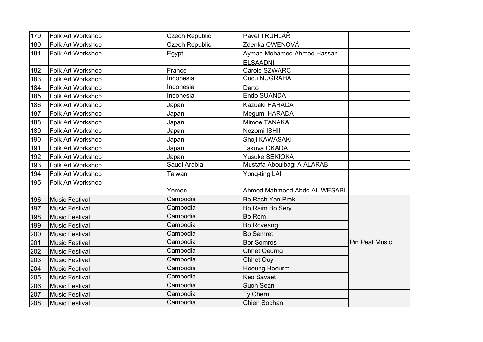| 179 | Folk Art Workshop        | <b>Czech Republic</b> | Pavel TRUHLÁŘ                |                       |
|-----|--------------------------|-----------------------|------------------------------|-----------------------|
| 180 | Folk Art Workshop        | <b>Czech Republic</b> | Zdenka OWENOVÁ               |                       |
| 181 | <b>Folk Art Workshop</b> | Egypt                 | Ayman Mohamed Ahmed Hassan   |                       |
|     |                          |                       | <b>ELSAADNI</b>              |                       |
| 182 | Folk Art Workshop        | France                | Carole SZWARC                |                       |
| 183 | <b>Folk Art Workshop</b> | Indonesia             | <b>Cucu NUGRAHA</b>          |                       |
| 184 | Folk Art Workshop        | Indonesia             | Darto                        |                       |
| 185 | Folk Art Workshop        | Indonesia             | Endo SUANDA                  |                       |
| 186 | Folk Art Workshop        | Japan                 | Kazuaki HARADA               |                       |
| 187 | Folk Art Workshop        | Japan                 | Megumi HARADA                |                       |
| 188 | Folk Art Workshop        | Japan                 | Mimoe TANAKA                 |                       |
| 189 | Folk Art Workshop        | Japan                 | Nozomi ISHII                 |                       |
| 190 | <b>Folk Art Workshop</b> | Japan                 | Shoji KAWASAKI               |                       |
| 191 | Folk Art Workshop        | Japan                 | Takuya OKADA                 |                       |
| 192 | Folk Art Workshop        | Japan                 | Yusuke SEKIOKA               |                       |
| 193 | <b>Folk Art Workshop</b> | Saudi Arabia          | Mustafa Aboulbagi A ALARAB   |                       |
| 194 | Folk Art Workshop        | Taiwan                | Yong-ting LAI                |                       |
| 195 | Folk Art Workshop        |                       |                              |                       |
|     |                          | Yemen                 | Ahmed Mahmood Abdo AL WESABI |                       |
| 196 | Music Festival           | Cambodia              | Bo Rach Yan Prak             |                       |
| 197 | Music Festival           | Cambodia              | Bo Raim Bo Sery              |                       |
| 198 | Music Festival           | Cambodia              |                              |                       |
| 199 |                          |                       | <b>Bo Rom</b>                |                       |
|     | Music Festival           | Cambodia              | <b>Bo Roveang</b>            |                       |
| 200 | <b>Music Festival</b>    | Cambodia              | <b>Bo Samret</b>             |                       |
| 201 | Music Festival           | Cambodia              | <b>Bor Somros</b>            | <b>Pin Peat Music</b> |
| 202 | Music Festival           | Cambodia              | <b>Chhet Oeurng</b>          |                       |
| 203 | Music Festival           | Cambodia              | <b>Chhet Ouy</b>             |                       |
| 204 | Music Festival           | Cambodia              | Hoeung Hoeurm                |                       |
| 205 | Music Festival           | Cambodia              | <b>Keo Savaet</b>            |                       |
| 206 | Music Festival           | Cambodia              | Suon Sean                    |                       |
| 207 | Music Festival           | Cambodia              | Ty Chern                     |                       |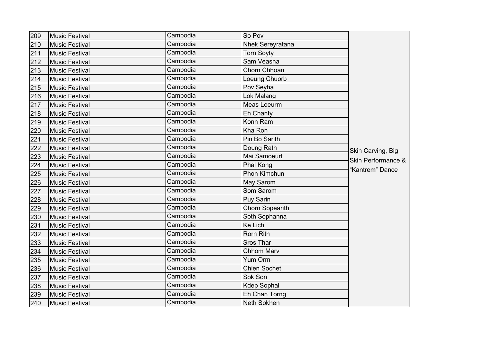| 209 | Music Festival        | Cambodia | So Pov                 |                    |
|-----|-----------------------|----------|------------------------|--------------------|
| 210 | Music Festival        | Cambodia | Nhek Sereyratana       |                    |
| 211 | <b>Music Festival</b> | Cambodia | <b>Torn Soyty</b>      |                    |
| 212 | Music Festival        | Cambodia | Sam Veasna             |                    |
| 213 | Music Festival        | Cambodia | Chorn Chhoan           |                    |
| 214 | <b>Music Festival</b> | Cambodia | Loeung Chuorb          |                    |
| 215 | Music Festival        | Cambodia | Pov Seyha              |                    |
| 216 | Music Festival        | Cambodia | Lok Malang             |                    |
| 217 | <b>Music Festival</b> | Cambodia | Meas Loeurm            |                    |
| 218 | Music Festival        | Cambodia | Eh Chanty              |                    |
| 219 | Music Festival        | Cambodia | Konn Ram               |                    |
| 220 | <b>Music Festival</b> | Cambodia | Kha Ron                |                    |
| 221 | <b>Music Festival</b> | Cambodia | Pin Bo Sarith          |                    |
| 222 | <b>Music Festival</b> | Cambodia | Doung Rath             | Skin Carving, Big  |
| 223 | Music Festival        | Cambodia | Mai Samoeurt           | Skin Performance & |
| 224 | Music Festival        | Cambodia | Phal Kong              |                    |
| 225 | <b>Music Festival</b> | Cambodia | Phon Kimchun           | 'Kantrem" Dance    |
| 226 | <b>Music Festival</b> | Cambodia | May Sarom              |                    |
| 227 | <b>Music Festival</b> | Cambodia | Som Sarom              |                    |
| 228 | <b>Music Festival</b> | Cambodia | <b>Puy Sarin</b>       |                    |
| 229 | Music Festival        | Cambodia | <b>Chorn Sopearith</b> |                    |
| 230 | Music Festival        | Cambodia | Soth Sophanna          |                    |
| 231 | <b>Music Festival</b> | Cambodia | Ke Lich                |                    |
| 232 | <b>Music Festival</b> | Cambodia | Rorn Rith              |                    |
| 233 | <b>Music Festival</b> | Cambodia | Sros Thar              |                    |
| 234 | Music Festival        | Cambodia | <b>Chhom Marv</b>      |                    |
| 235 | <b>Music Festival</b> | Cambodia | Yum Orm                |                    |
| 236 | <b>Music Festival</b> | Cambodia | <b>Chien Sochet</b>    |                    |
| 237 | <b>Music Festival</b> | Cambodia | Sok Son                |                    |
| 238 | Music Festival        | Cambodia | <b>Kdep Sophal</b>     |                    |
| 239 | <b>Music Festival</b> | Cambodia | Eh Chan Torng          |                    |
| 240 | Music Festival        | Cambodia | Neth Sokhen            |                    |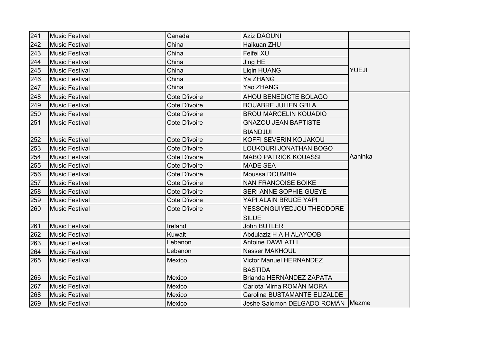| 241 | Music Festival        | Canada        | <b>Aziz DAOUNI</b>                  |              |
|-----|-----------------------|---------------|-------------------------------------|--------------|
| 242 | Music Festival        | China         | Haikuan ZHU                         |              |
| 243 | Music Festival        | China         | Feifei XU                           |              |
| 244 | Music Festival        | China         | Jing HE                             |              |
| 245 | Music Festival        | China         | Ligin HUANG                         | <b>YUEJI</b> |
| 246 | Music Festival        | China         | <b>Ya ZHANG</b>                     |              |
| 247 | Music Festival        | China         | Yao ZHANG                           |              |
| 248 | Music Festival        | Cote D'ivoire | AHOU BENEDICTE BOLAGO               |              |
| 249 | Music Festival        | Cote D'ivoire | <b>BOUABRE JULIEN GBLA</b>          |              |
| 250 | Music Festival        | Cote D'ivoire | <b>BROU MARCELIN KOUADIO</b>        |              |
| 251 | Music Festival        | Cote D'ivoire | <b>GNAZOU JEAN BAPTISTE</b>         |              |
|     |                       |               | <b>BIANDJUI</b>                     |              |
| 252 | Music Festival        | Cote D'ivoire | KOFFI SEVERIN KOUAKOU               |              |
| 253 | Music Festival        | Cote D'ivoire | LOUKOURI JONATHAN BOGO              |              |
| 254 | Music Festival        | Cote D'ivoire | <b>MABO PATRICK KOUASSI</b>         | Aaninka      |
| 255 | Music Festival        | Cote D'ivoire | <b>MADE SEA</b>                     |              |
| 256 | Music Festival        | Cote D'ivoire | Moussa DOUMBIA                      |              |
| 257 | <b>Music Festival</b> | Cote D'ivoire | <b>NAN FRANCOISE BOIKE</b>          |              |
| 258 | Music Festival        | Cote D'ivoire | SERI ANNE SOPHIE GUEYE              |              |
| 259 | Music Festival        | Cote D'ivoire | YAPI ALAIN BRUCE YAPI               |              |
| 260 | <b>Music Festival</b> | Cote D'ivoire | YESSONGUIYEDJOU THEODORE            |              |
|     |                       |               | <b>SILUE</b>                        |              |
| 261 | Music Festival        | Ireland       | <b>John BUTLER</b>                  |              |
| 262 | <b>Music Festival</b> | Kuwait        | Abdulaziz H A H ALAYOOB             |              |
| 263 | Music Festival        | Lebanon       | <b>Antoine DAWLATLI</b>             |              |
| 264 | Music Festival        | Lebanon       | <b>Nasser MAKHOUL</b>               |              |
| 265 | Music Festival        | Mexico        | <b>Victor Manuel HERNANDEZ</b>      |              |
|     |                       |               | <b>BASTIDA</b>                      |              |
| 266 | Music Festival        | Mexico        | Brianda HERNÁNDEZ ZAPATA            |              |
| 267 | Music Festival        | Mexico        | Carlota Mirna ROMÁN MORA            |              |
| 268 | Music Festival        | Mexico        | Carolina BUSTAMANTE ELIZALDE        |              |
| 269 | Music Festival        | Mexico        | Jeshe Salomon DELGADO ROMÁN   Mezme |              |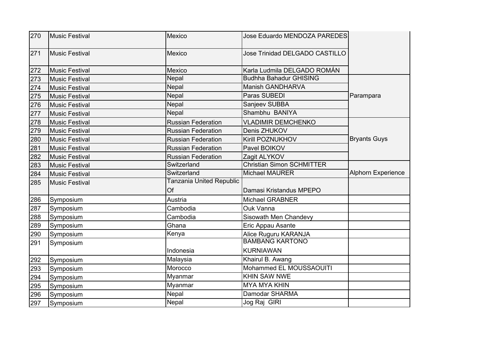| 270 | Music Festival        | Mexico                    | Jose Eduardo MENDOZA PAREDES     |                           |
|-----|-----------------------|---------------------------|----------------------------------|---------------------------|
| 271 | Music Festival        | Mexico                    | Jose Trinidad DELGADO CASTILLO   |                           |
| 272 | Music Festival        | Mexico                    | Karla Ludmila DELGADO ROMÁN      |                           |
| 273 | <b>Music Festival</b> | Nepal                     | <b>Budhha Bahadur GHISING</b>    |                           |
| 274 | Music Festival        | Nepal                     | Manish GANDHARVA                 |                           |
| 275 | Music Festival        | Nepal                     | Paras SUBEDI                     | Parampara                 |
| 276 | Music Festival        | Nepal                     | Sanjeev SUBBA                    |                           |
| 277 | Music Festival        | Nepal                     | Shambhu BANIYA                   |                           |
| 278 | Music Festival        | <b>Russian Federation</b> | <b>VLADIMIR DEMCHENKO</b>        |                           |
| 279 | Music Festival        | <b>Russian Federation</b> | Denis ZHUKOV                     |                           |
| 280 | Music Festival        | <b>Russian Federation</b> | Kirill POZNUKHOV                 | <b>Bryants Guys</b>       |
| 281 | Music Festival        | <b>Russian Federation</b> | Pavel BOIKOV                     |                           |
| 282 | <b>Music Festival</b> | <b>Russian Federation</b> | Zagit ALYKOV                     |                           |
| 283 | <b>Music Festival</b> | Switzerland               | <b>Christian Simon SCHMITTER</b> |                           |
| 284 | Music Festival        | Switzerland               | <b>Michael MAURER</b>            | <b>Alphorn Experience</b> |
| 285 | Music Festival        | Tanzania United Republic  |                                  |                           |
|     |                       | Of                        | Damasi Kristandus MPEPO          |                           |
| 286 | Symposium             | Austria                   | Michael GRABNER                  |                           |
| 287 | Symposium             | Cambodia                  | Ouk Vanna                        |                           |
| 288 | Symposium             | Cambodia                  | Sisowath Men Chandevy            |                           |
| 289 | Symposium             | Ghana                     | Eric Appau Asante                |                           |
| 290 | Symposium             | Kenya                     | Alice Ruguru KARANJA             |                           |
| 291 | Symposium             |                           | <b>BAMBANG KARTONO</b>           |                           |
|     |                       | Indonesia                 | <b>KURNIAWAN</b>                 |                           |
| 292 | Symposium             | Malaysia                  | Khairul B. Awang                 |                           |
| 293 | Symposium             | Morocco                   | Mohammed EL MOUSSAOUITI          |                           |
| 294 | Symposium             | Myanmar                   | <b>KHIN SAW NWE</b>              |                           |
| 295 | Symposium             | Myanmar                   | <b>MYA MYA KHIN</b>              |                           |
| 296 | Symposium             | Nepal                     | Damodar SHARMA                   |                           |
| 297 | Symposium             | Nepal                     | Jog Raj GIRI                     |                           |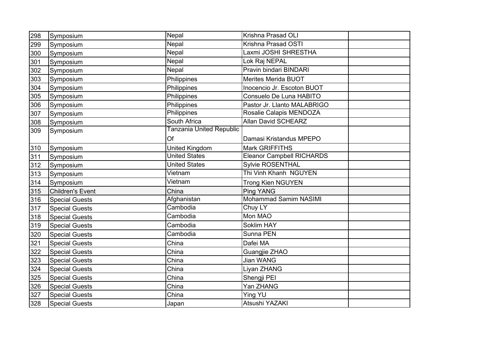| 298 | Symposium               | Nepal                           | Krishna Prasad OLI               |  |
|-----|-------------------------|---------------------------------|----------------------------------|--|
| 299 | Symposium               | Nepal                           | Krishna Prasad OSTI              |  |
| 300 | Symposium               | Nepal                           | Laxmi JOSHI SHRESTHA             |  |
| 301 | Symposium               | Nepal                           | Lok Raj NEPAL                    |  |
| 302 | Symposium               | Nepal                           | Pravin bindari BINDARI           |  |
| 303 | Symposium               | Philippines                     | <b>Merites Merida BUOT</b>       |  |
| 304 | Symposium               | Philippines                     | Inocencio Jr. Escoton BUOT       |  |
| 305 | Symposium               | Philippines                     | Consuelo De Luna HABITO          |  |
| 306 | Symposium               | Philippines                     | Pastor Jr. Llanto MALABRIGO      |  |
| 307 | Symposium               | Philippines                     | Rosalie Calapis MENDOZA          |  |
| 308 | Symposium               | South Africa                    | <b>Allan David SCHEARZ</b>       |  |
| 309 | Symposium               | <b>Tanzania United Republic</b> |                                  |  |
|     |                         | Of                              | Damasi Kristandus MPEPO          |  |
| 310 | Symposium               | <b>United Kingdom</b>           | Mark GRIFFITHS                   |  |
| 311 | Symposium               | <b>United States</b>            | <b>Eleanor Campbell RICHARDS</b> |  |
| 312 | Symposium               | <b>United States</b>            | Sylvie ROSENTHAL                 |  |
| 313 | Symposium               | Vietnam                         | Thi Vinh Khanh NGUYEN            |  |
| 314 | Symposium               | Vietnam                         | <b>Trong Kien NGUYEN</b>         |  |
| 315 | <b>Children's Event</b> | China                           | Ping YANG                        |  |
| 316 | Special Guests          | Afghanistan                     | Mohammad Samim NASIMI            |  |
| 317 | <b>Special Guests</b>   | Cambodia                        | Chuy LY                          |  |
| 318 | <b>Special Guests</b>   | Cambodia                        | Mon MAO                          |  |
| 319 | <b>Special Guests</b>   | Cambodia                        | Soklim HAY                       |  |
| 320 | <b>Special Guests</b>   | Cambodia                        | Sunna PEN                        |  |
| 321 | <b>Special Guests</b>   | China                           | Dafei MA                         |  |
| 322 | <b>Special Guests</b>   | China                           | Guangjie ZHAO                    |  |
| 323 | <b>Special Guests</b>   | China                           | Jian WANG                        |  |
| 324 | <b>Special Guests</b>   | China                           | Liyan ZHANG                      |  |
| 325 | <b>Special Guests</b>   | China                           | Shengji PEI                      |  |
| 326 | <b>Special Guests</b>   | China                           | Yan ZHANG                        |  |
| 327 | <b>Special Guests</b>   | China                           | <b>Ying YU</b>                   |  |
| 328 | <b>Special Guests</b>   | Japan                           | Atsushi YAZAKI                   |  |